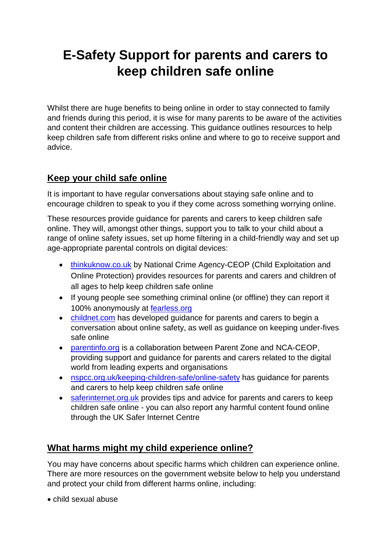## **E-Safety Support for parents and carers to keep children safe online**

Whilst there are huge benefits to being online in order to stay connected to family and friends during this period, it is wise for many parents to be aware of the activities and content their children are accessing. This guidance outlines resources to help keep children safe from different risks online and where to go to receive support and advice.

## **Keep your child safe online**

It is important to have regular conversations about staying safe online and to encourage children to speak to you if they come across something worrying online.

These resources provide guidance for parents and carers to keep children safe online. They will, amongst other things, support you to talk to your child about a range of online safety issues, set up home filtering in a child-friendly way and set up age-appropriate parental controls on digital devices:

- [thinkuknow.co.uk](https://www.thinkuknow.co.uk/) by National Crime Agency-CEOP (Child Exploitation and Online Protection) provides resources for parents and carers and children of all ages to help keep children safe online
- If young people see something criminal online (or offline) they can report it 100% anonymously at [fearless.org](http://www.fearless.org/)
- [childnet.com](https://www.childnet.com/) has developed guidance for parents and carers to begin a conversation about online safety, as well as guidance on keeping under-fives safe online
- [parentinfo.org](https://parentinfo.org/) is a collaboration between Parent Zone and NCA-CEOP, providing support and guidance for parents and carers related to the digital world from leading experts and organisations
- [nspcc.org.uk/keeping-children-safe/online-safety](https://www.nspcc.org.uk/keeping-children-safe/online-safety) has guidance for parents and carers to help keep children safe online
- [saferinternet.org.uk](http://www.saferinternet.org.uk/) provides tips and advice for parents and carers to keep children safe online - you can also report any harmful content found online through the UK Safer Internet Centre

## **What harms might my child experience online?**

You may have concerns about specific harms which children can experience online. There are more resources on the government website below to help you understand and protect your child from different harms online, including:

child sexual abuse